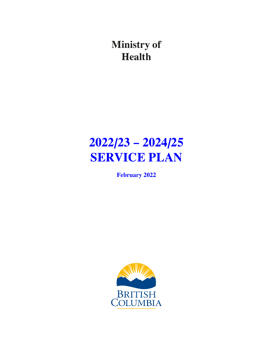**Ministry of Health**

# **2022/23 – 2024/25 SERVICE PLAN**

**February 2022**

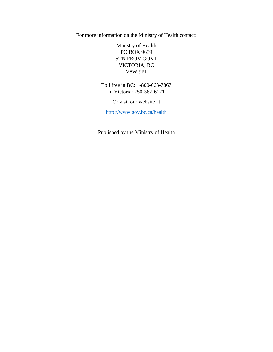For more information on the Ministry of Health contact:

Ministry of Health PO BOX 9639 STN PROV GOVT VICTORIA, BC V8W 9P1

Toll free in BC: 1-800-663-7867 In Victoria: 250-387-6121

Or visit our website at

<http://www.gov.bc.ca/health>

Published by the Ministry of Health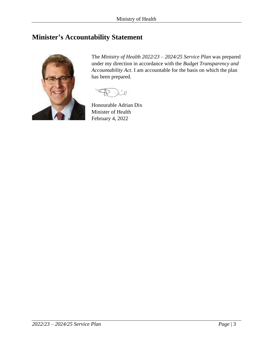### <span id="page-2-0"></span>**Minister's Accountability Statement**



The *Ministry of Health 2022/23 – 2024/25 Service Plan* was prepared under my direction in accordance with the *Budget Transparency and Accountability Act*. I am accountable for the basis on which the plan has been prepared.

 $\overline{\mathcal{L}}$ 

Honourable Adrian Dix Minister of Health February 4, 2022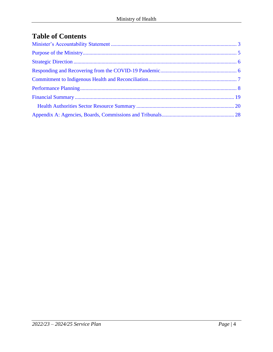# **Table of Contents**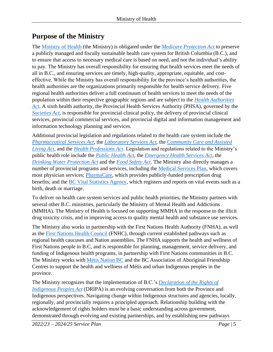## <span id="page-4-0"></span>**Purpose of the Ministry**

The [Ministry of Health](https://www2.gov.bc.ca/gov/content/governments/organizational-structure/ministries-organizations/ministries/health) (the Ministry) is obligated under the *[Medicare Protection Act](https://www.bclaws.gov.bc.ca/civix/document/id/complete/statreg/96286_01)* to preserve a publicly managed and fiscally sustainable health care system for British Columbia (B.C.), and to ensure that access to necessary medical care is based on need, and not the individual's ability to pay. The Ministry has overall responsibility for ensuring that health services meet the needs of all in B.C., and ensuring services are timely, high-quality, appropriate, equitable, and costeffective. While the Ministry has overall responsibility for the province's health authorities, the health authorities are the organizations primarily responsible for health service delivery. Five regional health authorities deliver a full continuum of health services to meet the needs of the population within their respective geographic regions and are subject to the *[Health Authorities](https://www.bclaws.gov.bc.ca/civix/document/id/complete/statreg/96180_01)  [Act](https://www.bclaws.gov.bc.ca/civix/document/id/complete/statreg/96180_01)*. A sixth health authority, the Provincial Health Services Authority (PHSA), governed by the *[Societies Act](https://www.bclaws.gov.bc.ca/civix/document/id/complete/statreg/15018_01)*, is responsible for provincial clinical policy, the delivery of provincial clinical services, provincial commercial services, and provincial digital and information management and information technology planning and services.

Additional provincial legislation and regulations related to the health care system include the *[Pharmaceutical Services Act](https://www.bclaws.gov.bc.ca/civix/document/id/complete/statreg/12022_01)*, the *[Laboratory Services Act](https://www.bclaws.gov.bc.ca/civix/document/id/complete/statreg/14008)*, the *[Community Care and Assisted](https://www.bclaws.gov.bc.ca/civix/document/id/complete/statreg/02075_01)  [Living Act](https://www.bclaws.gov.bc.ca/civix/document/id/complete/statreg/02075_01)*, and the *[Health Professions Act](https://www.bclaws.gov.bc.ca/civix/document/id/complete/statreg/96183_01)*. Legislation and regulations related to the Ministry's public health role include the *[Public Health Act](https://www.bclaws.gov.bc.ca/civix/document/id/complete/statreg/08028_01)*, the *[Emergency Health Services Act,](https://www.bclaws.gov.bc.ca/civix/document/id/complete/statreg/96182_01)* the *[Drinking Water Protection Act](https://www.bclaws.gov.bc.ca/civix/document/id/complete/statreg/01009_01)* and the *[Food Safety Act](https://www.bclaws.gov.bc.ca/civix/document/id/complete/statreg/00_02028_01)*. The Ministry also directly manages a number of provincial programs and services, including the [Medical Services Plan,](https://www2.gov.bc.ca/gov/content/health/health-drug-coverage/msp) which covers most physician services; [PharmaCare,](https://www2.gov.bc.ca/gov/content/health/health-drug-coverage/pharmacare-for-bc-residents) which provides publicly-funded prescription drug benefits; and the **BC Vital Statistics Agency**, which registers and reports on vital events such as a birth, death or marriage.

To deliver on health care system services and public health priorities, the Ministry partners with several other B.C. ministries, particularly the Ministry of Mental Health and Addictions (MMHA). The Ministry of Health is focused on supporting MMHA in the response to the illicit drug toxicity crisis, and in improving access to quality mental health and substance use services.

The Ministry also works in partnership with the First Nations Health Authority (FNHA), as well as the [First Nations Health Council](https://fnhc.ca/) (FNHC), through current established pathways such as regional health caucuses and Nation assemblies. The FNHA supports the health and wellness of First Nations people in B.C, and is responsible for planning, management, service delivery, and funding of Indigenous health programs, in partnership with First Nations communities in B.C. The Ministry works with [Métis Nation BC](https://www.mnbc.ca/) and the BC Association of Aboriginal Friendship Centres to support the health and wellness of Métis and urban Indigenous peoples in the province.

The Ministry recognizes that the implementation of B.C.'s *[Declaration of the Rights of](https://www.bclaws.gov.bc.ca/civix/document/id/complete/statreg/19044)  [Indigenous Peoples Act](https://www.bclaws.gov.bc.ca/civix/document/id/complete/statreg/19044)* (DRIPA) is an evolving conversation from both the Province and Indigenous perspectives. Navigating change within Indigenous structures and agencies, locally, regionally, and provincially requires a principled approach. Relationship building with the acknowledgement of rights holders must be a basic understanding across government, demonstrated through evolving and existing partnerships, and by establishing new pathways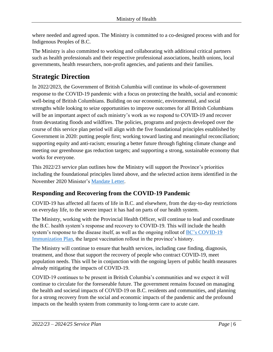where needed and agreed upon. The Ministry is committed to a co-designed process with and for Indigenous Peoples of B.C.

The Ministry is also committed to working and collaborating with additional critical partners such as health professionals and their respective professional associations, health unions, local governments, health researchers, non-profit agencies, and patients and their families.

# <span id="page-5-0"></span>**Strategic Direction**

In 2022/2023, the Government of British Columbia will continue its whole-of-government response to the COVID-19 pandemic with a focus on protecting the health, social and economic well-being of British Columbians. Building on our economic, environmental, and social strengths while looking to seize opportunities to improve outcomes for all British Columbians will be an important aspect of each ministry's work as we respond to COVID-19 and recover from devastating floods and wildfires. The policies, programs and projects developed over the course of this service plan period will align with the five foundational principles established by Government in 2020: putting people first; working toward lasting and meaningful reconciliation; supporting equity and anti-racism; ensuring a better future through fighting climate change and meeting our greenhouse gas reduction targets; and supporting a strong, sustainable economy that works for everyone.

This 2022/23 service plan outlines how the Ministry will support the Province's priorities including the foundational principles listed above, and the selected action items identified in the November 2020 Minister's [Mandate Letter.](https://news.gov.bc.ca/files/HLTH-Dix-mandate.pdf)

#### <span id="page-5-1"></span>**Responding and Recovering from the COVID-19 Pandemic**

COVID-19 has affected all facets of life in B.C. and elsewhere, from the day-to-day restrictions on everyday life, to the severe impact it has had on parts of our health system.

The Ministry, working with the Provincial Health Officer, will continue to lead and coordinate the B.C. health system's response and recovery to COVID-19. This will include the health system's response to the disease itself, as well as the ongoing rollout of BC's [COVID-19](https://www2.gov.bc.ca/gov/content/covid-19/vaccine/plan)  [Immunization Plan,](https://www2.gov.bc.ca/gov/content/covid-19/vaccine/plan) the largest vaccination rollout in the province's history.

The Ministry will continue to ensure that health services, including case finding, diagnosis, treatment, and those that support the recovery of people who contract COVID-19, meet population needs. This will be in conjunction with the ongoing layers of public health measures already mitigating the impacts of COVID-19.

COVID-19 continues to be present in British Columbia's communities and we expect it will continue to circulate for the foreseeable future. The government remains focused on managing the health and societal impacts of COVID-19 on B.C. residents and communities, and planning for a strong recovery from the social and economic impacts of the pandemic and the profound impacts on the health system from community to long-term care to acute care.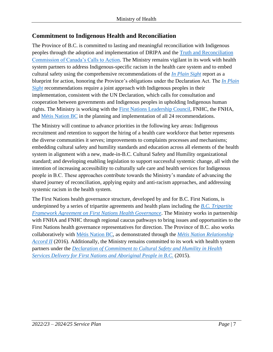#### <span id="page-6-0"></span>**Commitment to Indigenous Health and Reconciliation**

The Province of B.C. is committed to lasting and meaningful reconciliation with Indigenous peoples through the adoption and implementation of DRIPA and the [Truth and Reconciliation](https://ehprnh2mwo3.exactdn.com/wp-content/uploads/2021/01/Calls_to_Action_English2.pdf)  [Commission of Canada's Calls to Action.](https://ehprnh2mwo3.exactdn.com/wp-content/uploads/2021/01/Calls_to_Action_English2.pdf) The Ministry remains vigilant in its work with health system partners to address Indigenous-specific racism in the health care system and to embed cultural safety using the comprehensive recommendations of the *[In Plain Sight](https://engage.gov.bc.ca/app/uploads/sites/613/2020/11/In-Plain-Sight-Full-Report.pdf)* report as a blueprint for action, honoring the Province's obligations under the Declaration Act. The *[In Plain](https://engage.gov.bc.ca/app/uploads/sites/613/2020/11/In-Plain-Sight-Full-Report.pdf)  [Sight](https://engage.gov.bc.ca/app/uploads/sites/613/2020/11/In-Plain-Sight-Full-Report.pdf)* recommendations require a joint approach with Indigenous peoples in their implementation, consistent with the UN Declaration, which calls for consultation and cooperation between governments and Indigenous peoples in upholding Indigenous human rights. The Ministry is working with the [First Nations Leadership Council,](https://www.bcafn.ca/) FNHC, the FNHA, and [Métis Nation BC](https://www.mnbc.ca/) in the planning and implementation of all 24 recommendations.

The Ministry will continue to advance priorities in the following key areas: Indigenous recruitment and retention to support the hiring of a health care workforce that better represents the diverse communities it serves; improvements to complaints processes and mechanisms; embedding cultural safety and humility standards and education across all elements of the health system in alignment with a new, made-in-B.C. Cultural Safety and Humility organizational standard; and developing enabling legislation to support successful systemic change, all with the intention of increasing accessibility to culturally safe care and health services for Indigenous people in B.C. These approaches contribute towards the Ministry's mandate of advancing the shared journey of reconciliation, applying equity and anti-racism approaches, and addressing systemic racism in the health system.

The First Nations health governance structure, developed by and for B.C. First Nations, is underpinned by a series of tripartite agreements and health plans including the *[B.C. Tripartite](https://www.canada.ca/content/dam/hc-sc/migration/hc-sc/fniah-spnia/alt_formats/pdf/pubs/services/tripartite/framework-accord-cadre-eng.pdf)  [Framework Agreement on First Nations Health Governance](https://www.canada.ca/content/dam/hc-sc/migration/hc-sc/fniah-spnia/alt_formats/pdf/pubs/services/tripartite/framework-accord-cadre-eng.pdf)*. The Ministry works in partnership with FNHA and FNHC through regional caucus pathways to bring issues and opportunities to the First Nations health governance representatives for direction. The Province of B.C. also works collaboratively with [Métis Nation BC,](https://www.mnbc.ca/) as demonstrated through the *[Métis Nation Relationship](https://www2.gov.bc.ca/gov/content/governments/indigenous-people/new-relationship/m-tis-nation-relationship-accord)  [Accord II](https://www2.gov.bc.ca/gov/content/governments/indigenous-people/new-relationship/m-tis-nation-relationship-accord)* (2016). Additionally, the Ministry remains committed to its work with health system partners under the *[Declaration of Commitment to Cultural Safety and Humility in Health](https://www.fnha.ca/Documents/Declaration-of-Commitment-on-Cultural-Safety-and-Humility-in-Health-Services.pdf)  [Services Delivery for First Nations and Aboriginal People in B.C.](https://www.fnha.ca/Documents/Declaration-of-Commitment-on-Cultural-Safety-and-Humility-in-Health-Services.pdf)* (2015).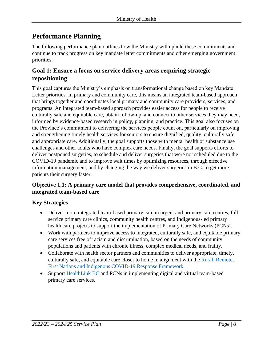# <span id="page-7-0"></span>**Performance Planning**

The following performance plan outlines how the Ministry will uphold these commitments and continue to track progress on key mandate letter commitments and other emerging government priorities.

#### **Goal 1: Ensure a focus on service delivery areas requiring strategic repositioning**

This goal captures the Ministry's emphasis on transformational change based on key Mandate Letter priorities. In primary and community care, this means an integrated team-based approach that brings together and coordinates local primary and community care providers, services, and programs. An integrated team-based approach provides easier access for people to receive culturally safe and equitable care, obtain follow-up, and connect to other services they may need, informed by evidence-based research in policy, planning, and practice. This goal also focuses on the Province's commitment to delivering the services people count on, particularly on improving and strengthening timely health services for seniors to ensure dignified, quality, culturally safe and appropriate care. Additionally, the goal supports those with mental health or substance use challenges and other adults who have complex care needs. Finally, the goal supports efforts to deliver postponed surgeries, to schedule and deliver surgeries that were not scheduled due to the COVID-19 pandemic and to improve wait times by optimizing resources, through effective information management, and by changing the way we deliver surgeries in B.C. to get more patients their surgery faster.

#### **Objective 1.1: A primary care model that provides comprehensive, coordinated, and integrated team-based care**

- Deliver more integrated team-based primary care in urgent and primary care centres, full service primary care clinics, community health centres, and Indigenous-led primary health care projects to support the implementation of Primary Care Networks (PCNs).
- Work with partners to improve access to integrated, culturally safe, and equitable primary care services free of racism and discrimination, based on the needs of community populations and patients with chronic illness, complex medical needs, and frailty.
- Collaborate with health sector partners and communities to deliver appropriate, timely, culturally safe, and equitable care closer to home in alignment with the [Rural, Remote,](https://www2.gov.bc.ca/assets/gov/public-safety-and-emergency-services/emergency-preparedness-response-recovery/gdx/rural-and-remote-covid-19-response-framework.pdf)  First Nations [and Indigenous COVID-19 Response Framework.](https://www2.gov.bc.ca/assets/gov/public-safety-and-emergency-services/emergency-preparedness-response-recovery/gdx/rural-and-remote-covid-19-response-framework.pdf)
- Support [HealthLink](https://www.healthlinkbc.ca/) BC and PCNs in implementing digital and virtual team-based primary care services.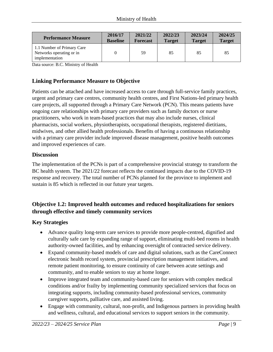| <b>Performance Measure</b>                                               | 2016/17         | 2021/22         | 2022/23       | 2023/24       | 2024/25       |
|--------------------------------------------------------------------------|-----------------|-----------------|---------------|---------------|---------------|
|                                                                          | <b>Baseline</b> | <b>Forecast</b> | <b>Target</b> | <b>Target</b> | <b>Target</b> |
| 1.1 Number of Primary Care<br>Networks operating or in<br>implementation |                 | 59              | 85            | 85            | 85            |

Data source: B.C. Ministry of Health

#### **Linking Performance Measure to Objective**

Patients can be attached and have increased access to care through full-service family practices, urgent and primary care centres, community health centres, and First Nations-led primary health care projects, all supported through a Primary Care Network (PCN). This means patients have ongoing care relationships with primary care providers such as family doctors or nurse practitioners, who work in team-based practices that may also include nurses, clinical pharmacists, social workers, physiotherapists, occupational therapists, registered dietitians, midwives, and other allied health professionals. Benefits of having a continuous relationship with a primary care provider include improved disease management, positive health outcomes and improved experiences of care.

#### **Discussion**

The implementation of the PCNs is part of a comprehensive provincial strategy to transform the BC health system. The 2021/22 forecast reflects the continued impacts due to the COVID-19 response and recovery. The total number of PCNs planned for the province to implement and sustain is 85 which is reflected in our future year targets.

#### **Objective 1.2: Improved health outcomes and reduced hospitalizations for seniors through effective and timely community services**

- Advance quality long-term care services to provide more people-centred, dignified and culturally safe care by expanding range of support, eliminating multi-bed rooms in health authority-owned facilities, and by enhancing oversight of contracted service delivery.
- Expand community-based models of care and digital solutions, such as the CareConnect electronic health record system, provincial prescription management initiatives, and remote patient monitoring, to ensure continuity of care between acute settings and community, and to enable seniors to stay at home longer.
- Improve integrated team and community-based care for seniors with complex medical conditions and/or frailty by implementing community specialized services that focus on integrating supports, including community-based professional services, community caregiver supports, palliative care, and assisted living.
- Engage with community, cultural, non-profit, and Indigenous partners in providing health and wellness, cultural, and educational services to support seniors in the community.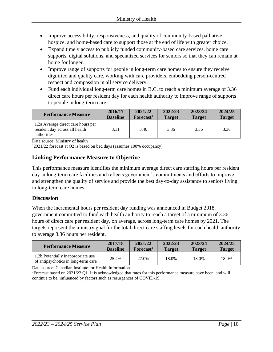- Improve accessibility, responsiveness, and quality of community-based palliative, hospice, and home-based care to support those at the end of life with greater choice.
- Expand timely access to publicly funded community-based care services, home care supports, digital solutions, and specialized services for seniors so that they can remain at home for longer.
- Improve range of supports for people in long-term care homes to ensure they receive dignified and quality care, working with care providers, embedding person-centred respect and compassion in all service delivery.
- Fund each individual long-term care homes in B.C. to reach a minimum average of 3.36 direct care hours per resident day for each health authority to improve range of supports to people in long-term care.

| <b>Performance Measure</b>                                                          | 2016/17         | 2021/22               | 2022/23       | 2023/24       | 2024/25       |
|-------------------------------------------------------------------------------------|-----------------|-----------------------|---------------|---------------|---------------|
|                                                                                     | <b>Baseline</b> | Forecast <sup>1</sup> | <b>Target</b> | <b>Target</b> | <b>Target</b> |
| 1.2a Average direct care hours per<br>resident day across all health<br>authorities | 3.11            | 3.40                  | 3.36          | 3.36          | 3.36          |

Data source: Ministry of health

<sup>1</sup>2021/22 forecast at Q2 is based on bed days (assumes 100% occupancy)

#### **Linking Performance Measure to Objective**

This performance measure identifies the minimum average direct care staffing hours per resident day in long-term care facilities and reflects government's commitments and efforts to improve and strengthen the quality of service and provide the best day-to-day assistance to seniors living in long-term care homes.

#### **Discussion**

When the incremental hours per resident day funding was announced in Budget 2018, government committed to fund each health authority to reach a target of a minimum of 3.36 hours of direct care per resident day, on average, across long-term care homes by 2021. The targets represent the ministry goal for the total direct care staffing levels for each health authority to average 3.36 hours per resident.

| <b>Performance Measure</b>                                                | 2017/18         | 2021/22           | 2022/23       | 2023/24       | 2024/25       |
|---------------------------------------------------------------------------|-----------------|-------------------|---------------|---------------|---------------|
|                                                                           | <b>Baseline</b> | $\bf{For} exact1$ | <b>Target</b> | <b>Target</b> | <b>Target</b> |
| 1.2b Potentially inappropriate use<br>of antipsychotics in long-term care | 25.4%           | 27.0%             | 18.0%         | 18.0%         | 18.0%         |

Data source: Canadian Institute for Health Information

<sup>1</sup>Forecast based on 2021/22 Q1. It is acknowledged that rates for this performance measure have been, and will continue to be, influenced by factors such as resurgences of COVID-19.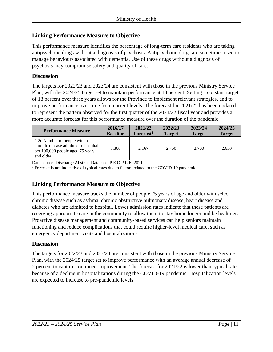#### **Linking Performance Measure to Objective**

This performance measure identifies the percentage of long-term care residents who are taking antipsychotic drugs without a diagnosis of psychosis. Antipsychotic drugs are sometimes used to manage behaviours associated with dementia. Use of these drugs without a diagnosis of psychosis may compromise safety and quality of care.

#### **Discussion**

The targets for 2022/23 and 2023/24 are consistent with those in the previous Ministry Service Plan, with the 2024/25 target set to maintain performance at 18 percent. Setting a constant target of 18 percent over three years allows for the Province to implement relevant strategies, and to improve performance over time from current levels. The forecast for 2021/22 has been updated to represent the pattern observed for the first quarter of the 2021/22 fiscal year and provides a more accurate forecast for this performance measure over the duration of the pandemic.

| <b>Performance Measure</b>                                                                                            | 2016/17         | 2021/22               | 2022/23       | 2023/24       | 2024/25       |
|-----------------------------------------------------------------------------------------------------------------------|-----------------|-----------------------|---------------|---------------|---------------|
|                                                                                                                       | <b>Baseline</b> | Forecast <sup>1</sup> | <b>Target</b> | <b>Target</b> | <b>Target</b> |
| 1.2c Number of people with a<br>chronic disease admitted to hospital<br>per 100,000 people aged 75 years<br>and older | 3,360           | 2,167                 | 2.750         | 2,700         | 2,650         |

Data source: Discharge Abstract Database, P.E.O.P.L.E. 2021

<sup>1</sup> Forecast is not indicative of typical rates due to factors related to the COVID-19 pandemic.

#### **Linking Performance Measure to Objective**

This performance measure tracks the number of people 75 years of age and older with select chronic disease such as asthma, chronic obstructive pulmonary disease, heart disease and diabetes who are admitted to hospital. Lower admission rates indicate that these patients are receiving appropriate care in the community to allow them to stay home longer and be healthier. Proactive disease management and community-based services can help seniors maintain functioning and reduce complications that could require higher-level medical care, such as emergency department visits and hospitalizations.

#### **Discussion**

The targets for 2022/23 and 2023/24 are consistent with those in the previous Ministry Service Plan, with the 2024/25 target set to improve performance with an average annual decrease of 2 percent to capture continued improvement. The forecast for 2021/22 is lower than typical rates because of a decline in hospitalizations during the COVID-19 pandemic. Hospitalization levels are expected to increase to pre-pandemic levels.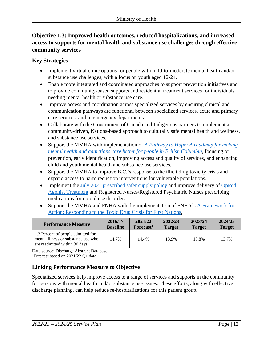#### **Objective 1.3: Improved health outcomes, reduced hospitalizations, and increased access to supports for mental health and substance use challenges through effective community services**

#### **Key Strategies**

- Implement virtual clinic options for people with mild-to-moderate mental health and/or substance use challenges, with a focus on youth aged 12-24.
- Enable more integrated and coordinated approaches to support prevention initiatives and to provide community-based supports and residential treatment services for individuals needing mental health or substance use care.
- Improve access and coordination across specialized services by ensuring clinical and communication pathways are functional between specialized services, acute and primary care services, and in emergency departments.
- Collaborate with the Government of Canada and Indigenous partners to implement a community-driven, Nations-based approach to culturally safe mental health and wellness, and substance use services.
- Support the MMHA with implementation of *A Pathway to Hope: A [roadmap](https://www2.gov.bc.ca/assets/gov/british-columbians-our-governments/initiatives-plans-strategies/mental-health-and-addictions-strategy/bcmentalhealthroadmap_2019web-5.pdf) for making mental health and [addictions](https://www2.gov.bc.ca/assets/gov/british-columbians-our-governments/initiatives-plans-strategies/mental-health-and-addictions-strategy/bcmentalhealthroadmap_2019web-5.pdf) care better for people in British Columbia*, focusing on prevention, early identification, improving access and quality of services, and enhancing child and youth mental health and substance use services.
- Support the MMHA to improve B.C.'s response to the illicit drug toxicity crisis and expand access to harm reduction interventions for vulnerable populations.
- Implement the July 2021 [prescribed](https://www2.gov.bc.ca/assets/gov/overdose-awareness/prescribed_safer_supply_in_bc.pdf) safer supply policy and improve delivery of [Opioid](https://www.camh.ca/-/media/files/oat-info-for-clients.pdf) Agonist [Treatment](https://www.camh.ca/-/media/files/oat-info-for-clients.pdf) and Registered Nurses/Registered Psychiatric Nurses prescribing medications for opioid use disorder.
- Support the MMHA and FNHA with the implementation of FNHA's A [Framework](https://www.fnha.ca/Documents/FNHA-Overdose-Action-Plan-Framework.pdf) for Action: [Responding](https://www.fnha.ca/Documents/FNHA-Overdose-Action-Plan-Framework.pdf) to the Toxic Drug Crisis for First Nations.

| <b>Performance Measure</b>                                                                                 | 2016/17         | 2021/22           | 2022/23       | 2023/24       | 2024/25       |
|------------------------------------------------------------------------------------------------------------|-----------------|-------------------|---------------|---------------|---------------|
|                                                                                                            | <b>Baseline</b> | $\bf{For} exact1$ | <b>Target</b> | <b>Target</b> | <b>Target</b> |
| 1.3 Percent of people admitted for<br>mental illness or substance use who<br>are readmitted within 30 days | 14.7%           | 14.4%             | 13.9%         | 13.8%         | 13.7%         |

Data source: Discharge Abstract Database

<sup>1</sup>Forecast based on 2021/22 O1 data.

#### **Linking Performance Measure to Objective**

Specialized services help improve access to a range of services and supports in the community for persons with mental health and/or substance use issues. These efforts, along with effective discharge planning, can help reduce re-hospitalizations for this patient group.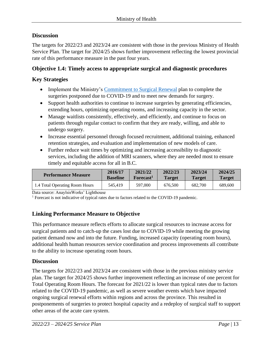#### **Discussion**

The targets for 2022/23 and 2023/24 are consistent with those in the previous Ministry of Health Service Plan. The target for 2024/25 shows further improvement reflecting the lowest provincial rate of this performance measure in the past four years.

#### **Objective 1.4: Timely access to appropriate surgical and diagnostic procedures**

#### **Key Strategies**

- Implement the Ministry's [Commitment to Surgical Renewal](https://www2.gov.bc.ca/assets/gov/health/conducting-health-research/surgical-renewal-plan.pdf) plan to complete the surgeries postponed due to COVID-19 and to meet new demands for surgery.
- Support health authorities to continue to increase surgeries by generating efficiencies, extending hours, optimizing operating rooms, and increasing capacity in the sector.
- Manage waitlists consistently, effectively, and efficiently, and continue to focus on patients through regular contact to confirm that they are ready, willing, and able to undergo surgery.
- Increase essential personnel through focused recruitment, additional training, enhanced retention strategies, and evaluation and implementation of new models of care.
- Further reduce wait times by optimizing and increasing accessibility to diagnostic services, including the addition of MRI scanners, where they are needed most to ensure timely and equitable access for all in B.C.

| <b>Performance Measure</b>     | 2016/17         | 2021/22         | 2022/23       | 2023/24       | 2024/25       |
|--------------------------------|-----------------|-----------------|---------------|---------------|---------------|
|                                | <b>Baseline</b> | <b>Forecast</b> | <b>Target</b> | <b>Target</b> | <b>Target</b> |
| 1.4 Total Operating Room Hours | 545.419         | 597,000         | 676.500       | 682,700       | 689,600       |

Data source: AnaylsisWorks' Lighthouse

<sup>1</sup> Forecast is not indicative of typical rates due to factors related to the COVID-19 pandemic.

#### **Linking Performance Measure to Objective**

This performance measure reflects efforts to allocate surgical resources to increase access for surgical patients and to catch-up the cases lost due to COVID-19 while meeting the growing patient demand now and into the future. Funding, increased capacity (operating room hours), additional health human resources service coordination and process improvements all contribute to the ability to increase operating room hours.

#### **Discussion**

The targets for 2022/23 and 2023/24 are consistent with those in the previous ministry service plan. The target for 2024/25 shows further improvement reflecting an increase of one percent for Total Operating Room Hours. The forecast for 2021/22 is lower than typical rates due to factors related to the COVID-19 pandemic, as well as severe weather events which have impacted ongoing surgical renewal efforts within regions and across the province. This resulted in postponements of surgeries to protect hospital capacity and a redeploy of surgical staff to support other areas of the acute care system.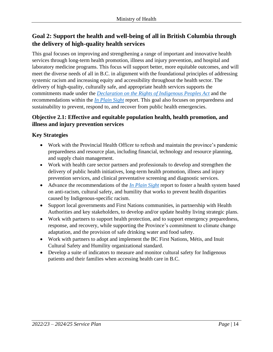#### **Goal 2: Support the health and well-being of all in British Columbia through the delivery of high-quality health services**

This goal focuses on improving and strengthening a range of important and innovative health services through long-term health promotion, illness and injury prevention, and hospital and laboratory medicine programs. This focus will support better, more equitable outcomes, and will meet the diverse needs of all in B.C. in alignment with the foundational principles of addressing systemic racism and increasing equity and accessibility throughout the health sector. The delivery of high-quality, culturally safe, and appropriate health services supports the commitments made under the *[Declaration on the Rights of Indigenous Peoples Act](https://www.bclaws.gov.bc.ca/civix/document/id/complete/statreg/19044)* and the recommendations within the *[In Plain Sight](https://engage.gov.bc.ca/app/uploads/sites/613/2020/11/In-Plain-Sight-Full-Report.pdf)* report. This goal also focuses on preparedness and sustainability to prevent, respond to, and recover from public health emergencies.

#### **Objective 2.1: Effective and equitable population health, health promotion, and illness and injury prevention services**

- Work with the Provincial Health Officer to refresh and maintain the province's pandemic preparedness and resource plan, including financial, technology and resource planning, and supply chain management.
- Work with health care sector partners and professionals to develop and strengthen the delivery of public health initiatives, long-term health promotion, illness and injury prevention services, and clinical preventative screening and diagnostic services.
- Advance the recommendations of the *[In Plain Sight](https://engage.gov.bc.ca/app/uploads/sites/613/2020/11/In-Plain-Sight-Full-Report.pdf)* report to foster a health system based on anti-racism, cultural safety, and humility that works to prevent health disparities caused by Indigenous-specific racism.
- Support local governments and First Nations communities, in partnership with Health Authorities and key stakeholders, to develop and/or update healthy living strategic plans.
- Work with partners to support health protection, and to support emergency preparedness, response, and recovery, while supporting the Province's commitment to climate change adaptation, and the provision of safe drinking water and food safety.
- Work with partners to adopt and implement the BC First Nations, Métis, and Inuit Cultural Safety and Humility organizational standard.
- Develop a suite of indicators to measure and monitor cultural safety for Indigenous patients and their families when accessing health care in B.C.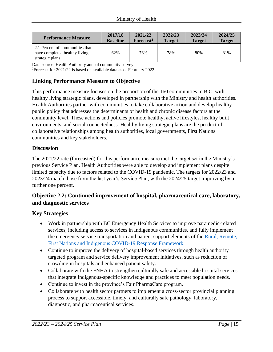| <b>Performance Measure</b>                                                          | 2017/18         | 2021/22               | 2022/23       | 2023/24       | 2024/25       |
|-------------------------------------------------------------------------------------|-----------------|-----------------------|---------------|---------------|---------------|
|                                                                                     | <b>Baseline</b> | Forecast <sup>2</sup> | <b>Target</b> | <b>Target</b> | <b>Target</b> |
| 2.1 Percent of communities that<br>have completed healthy living<br>strategic plans | 62%             | 76%                   | 78%           | 80%           | 81%           |

Data source: Health Authority annual community survey

<sup>2</sup>Forecast for 2021/22 is based on available data as of February 2022

#### **Linking Performance Measure to Objective**

This performance measure focuses on the proportion of the 160 communities in B.C. with healthy living strategic plans, developed in partnership with the Ministry and health authorities. Health Authorities partner with communities to take collaborative action and develop healthy public policy that addresses the determinants of health and chronic disease factors at the community level. These actions and policies promote healthy, active lifestyles, healthy built environments, and social connectedness. Healthy living strategic plans are the product of collaborative relationships among health authorities, local governments, First Nations communities and key stakeholders.

#### **Discussion**

The 2021/22 rate (forecasted) for this performance measure met the target set in the Ministry's previous Service Plan. Health Authorities were able to develop and implement plans despite limited capacity due to factors related to the COVID-19 pandemic. The targets for 2022/23 and 2023/24 match those from the last year's Service Plan, with the 2024/25 target improving by a further one percent.

#### **Objective 2.2: Continued improvement of hospital, pharmaceutical care, laboratory, and diagnostic services**

- Work in partnership with BC Emergency Health Services to improve paramedic-related services, including access to services in Indigenous communities, and fully implement the emergency service transportation and patient support elements of the [Rural, Remote,](https://www2.gov.bc.ca/assets/gov/public-safety-and-emergency-services/emergency-preparedness-response-recovery/gdx/rural-and-remote-covid-19-response-framework.pdf) [First Nations and Indigenous COVID-19 Response Framework.](https://www2.gov.bc.ca/assets/gov/public-safety-and-emergency-services/emergency-preparedness-response-recovery/gdx/rural-and-remote-covid-19-response-framework.pdf)
- Continue to improve the delivery of hospital-based services through health authority targeted program and service delivery improvement initiatives, such as reduction of crowding in hospitals and enhanced patient safety.
- Collaborate with the FNHA to strengthen culturally safe and accessible hospital services that integrate Indigenous-specific knowledge and practices to meet population needs.
- Continue to invest in the province's Fair PharmaCare program.
- Collaborate with health sector partners to implement a cross-sector provincial planning process to support accessible, timely, and culturally safe pathology, laboratory, diagnostic, and pharmaceutical services.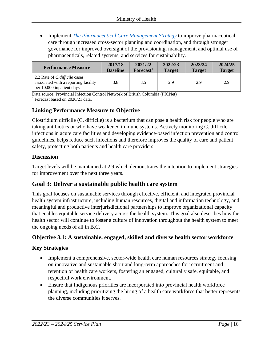• Implement *[The Pharmaceutical Care Management Strategy](https://www2.gov.bc.ca/gov/content/health/practitioner-professional-resources/pharmacare/initiatives/pcms)* to improve pharmaceutical care through increased cross-sector planning and coordination, and through stronger governance for improved oversight of the provisioning, management, and optimal use of pharmaceuticals, related systems, and services for sustainability.

| <b>Performance Measure</b>                                                                                | 2017/18         | 2021/22               | 2022/23       | 2023/24       | 2024/25       |
|-----------------------------------------------------------------------------------------------------------|-----------------|-----------------------|---------------|---------------|---------------|
|                                                                                                           | <b>Baseline</b> | Forecast <sup>1</sup> | <b>Target</b> | <b>Target</b> | <b>Target</b> |
| 2.2 Rate of <i>C.difficile</i> cases<br>associated with a reporting facility<br>per 10,000 inpatient days | 3.8             | 3.5                   | 2.9           | 2.9           | 2.9           |

Data source: Provincial Infection Control Network of British Columbia (PICNet)

<sup>1</sup> Forecast based on 2020/21 data.

#### **Linking Performance Measure to Objective**

Clostridium difficile (C. difficile) is a bacterium that can pose a health risk for people who are taking antibiotics or who have weakened immune systems. Actively monitoring C. difficile infections in acute care facilities and developing evidence-based infection prevention and control guidelines, helps reduce such infections and therefore improves the quality of care and patient safety, protecting both patients and health care providers.

#### **Discussion**

Target levels will be maintained at 2.9 which demonstrates the intention to implement strategies for improvement over the next three years.

#### **Goal 3: Deliver a sustainable public health care system**

This goal focuses on sustainable services through effective, efficient, and integrated provincial health system infrastructure, including human resources, digital and information technology, and meaningful and productive interjurisdictional partnerships to improve organizational capacity that enables equitable service delivery across the health system. This goal also describes how the health sector will continue to foster a culture of innovation throughout the health system to meet the ongoing needs of all in B.C.

#### **Objective 3.1: A sustainable, engaged, skilled and diverse health sector workforce**

- Implement a comprehensive, sector-wide health care human resources strategy focusing on innovative and sustainable short and long-term approaches for recruitment and retention of health care workers, fostering an engaged, culturally safe, equitable, and respectful work environment.
- Ensure that Indigenous priorities are incorporated into provincial health workforce planning, including prioritizing the hiring of a health care workforce that better represents the diverse communities it serves.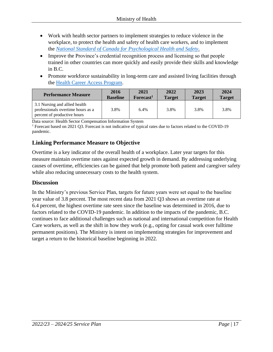- Work with health sector partners to implement strategies to reduce violence in the workplace, to protect the health and safety of health care workers, and to implement the *[National Standard of Canada for Psychological Health and Safety](https://mentalhealthcommission.ca/national-standard/)*.
- Improve the Province's credential recognition process and licensing so that people trained in other countries can more quickly and easily provide their skills and knowledge in B.C.
- Promote workforce sustainability in long-term care and assisted living facilities through the [Health Career Access Program.](https://www.choose2care.ca/hcap/)

| <b>Performance Measure</b>                                                                        | 2016            | 2021                  | 2022          | 2023          | 2024          |
|---------------------------------------------------------------------------------------------------|-----------------|-----------------------|---------------|---------------|---------------|
|                                                                                                   | <b>Baseline</b> | Forecast <sup>1</sup> | <b>Target</b> | <b>Target</b> | <b>Target</b> |
| 3.1 Nursing and allied health<br>professionals overtime hours as a<br>percent of productive hours | 3.8%            | 6.4%                  | 3.8%          | 3.8%          | 3.8%          |

Data source: Health Sector Compensation Information System

#### **Linking Performance Measure to Objective**

Overtime is a key indicator of the overall health of a workplace. Later year targets for this measure maintain overtime rates against expected growth in demand. By addressing underlying causes of overtime, efficiencies can be gained that help promote both patient and caregiver safety while also reducing unnecessary costs to the health system.

#### **Discussion**

In the Ministry's previous Service Plan, targets for future years were set equal to the baseline year value of 3.8 percent. The most recent data from 2021 Q3 shows an overtime rate at 6.4 percent, the highest overtime rate seen since the baseline was determined in 2016, due to factors related to the COVID-19 pandemic. In addition to the impacts of the pandemic, B.C. continues to face additional challenges such as national and international competition for Health Care workers, as well as the shift in how they work (e.g., opting for casual work over fulltime permanent positions). The Ministry is intent on implementing strategies for improvement and target a return to the historical baseline beginning in 2022.

<sup>1</sup> Forecast based on 2021 Q3. Forecast is not indicative of typical rates due to factors related to the COVID-19 pandemic.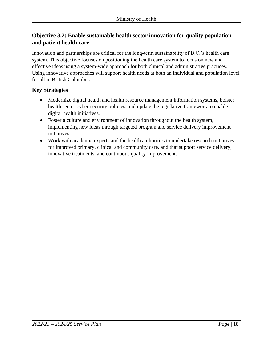#### **Objective 3.2: Enable sustainable health sector innovation for quality population and patient health care**

Innovation and partnerships are critical for the long-term sustainability of B.C.'s health care system. This objective focuses on positioning the health care system to focus on new and effective ideas using a system-wide approach for both clinical and administrative practices. Using innovative approaches will support health needs at both an individual and population level for all in British Columbia.

- Modernize digital health and health resource management information systems, bolster health sector cyber-security policies, and update the legislative framework to enable digital health initiatives.
- Foster a culture and environment of innovation throughout the health system, implementing new ideas through targeted program and service delivery improvement initiatives.
- Work with academic experts and the health authorities to undertake research initiatives for improved primary, clinical and community care, and that support service delivery, innovative treatments, and continuous quality improvement.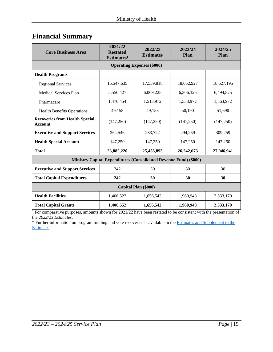# <span id="page-18-0"></span>**Financial Summary**

| <b>Core Business Area</b>                               | 2021/22<br><b>Restated</b><br>Estimates <sup>1</sup>                     | 2022/23<br><b>Estimates</b> | 2023/24<br>Plan | 2024/25<br><b>Plan</b> |  |  |  |  |
|---------------------------------------------------------|--------------------------------------------------------------------------|-----------------------------|-----------------|------------------------|--|--|--|--|
| <b>Operating Expenses (\$000)</b>                       |                                                                          |                             |                 |                        |  |  |  |  |
| <b>Health Programs</b>                                  |                                                                          |                             |                 |                        |  |  |  |  |
| <b>Regional Services</b>                                | 16,547,635                                                               | 17,539,818                  | 18,052,927      | 18,627,195             |  |  |  |  |
| <b>Medical Services Plan</b>                            | 5,550,427                                                                | 6,069,225                   | 6,306,325       | 6,494,825              |  |  |  |  |
| Pharmacare                                              | 1,470,454                                                                | 1,513,972                   | 1,538,972       | 1,563,972              |  |  |  |  |
| <b>Health Benefits Operations</b>                       | 49,158                                                                   | 49,158                      | 50,190          | 51,690                 |  |  |  |  |
| <b>Recoveries from Health Special</b><br><b>Account</b> | (147, 250)                                                               | (147,250)                   | (147,250)       | (147,250)              |  |  |  |  |
| <b>Executive and Support Services</b>                   | 264,546                                                                  | 283,722                     | 294,259         | 309,259                |  |  |  |  |
| <b>Health Special Account</b>                           | 147,250                                                                  | 147,250                     | 147,250         | 147,250                |  |  |  |  |
| <b>Total</b>                                            | 23,882,220                                                               | 25,455,895                  | 26,242,673      | 27,046,941             |  |  |  |  |
|                                                         | <b>Ministry Capital Expenditures (Consolidated Revenue Fund) (\$000)</b> |                             |                 |                        |  |  |  |  |
| <b>Executive and Support Services</b>                   | 242                                                                      | 30                          | 30              | 30                     |  |  |  |  |
| <b>Total Capital Expenditures</b>                       | 242                                                                      | 30                          | 30              | 30                     |  |  |  |  |
| Capital Plan (\$000)                                    |                                                                          |                             |                 |                        |  |  |  |  |
| <b>Health Facilities</b>                                | 1,406,522                                                                | 1,656,542                   | 1,960,948       | 2,533,170              |  |  |  |  |
| <b>Total Capital Grants</b>                             | 1,406,552                                                                | 1,656,542                   | 1,960,948       | 2,533,170              |  |  |  |  |

<sup>1</sup> For comparative purposes, amounts shown for 2021/22 have been restated to be consistent with the presentation of the *2022/23 Estimates*.

\* Further information on program funding and vote recoveries is available in th[e Estimates and Supplement to the](http://www.bcbudget.gov.bc.ca/)  [Estimates.](http://www.bcbudget.gov.bc.ca/)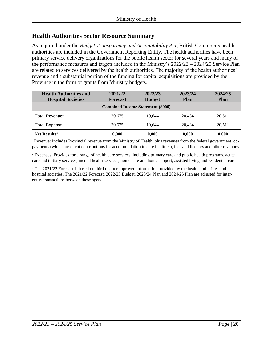#### <span id="page-19-0"></span>**Health Authorities Sector Resource Summary**

As required under the *Budget Transparency and Accountability Act*, British Columbia's health authorities are included in the Government Reporting Entity. The health authorities have been primary service delivery organizations for the public health sector for several years and many of the performance measures and targets included in the Ministry's 2022/23 – 2024/25 Service Plan are related to services delivered by the health authorities. The majority of the health authorities' revenue and a substantial portion of the funding for capital acquisitions are provided by the Province in the form of grants from Ministry budgets.

| <b>Health Authorities and</b><br><b>Hospital Societies</b> | 2021/22<br><b>Forecast</b> | 2022/23<br><b>Budget</b> | 2023/24<br><b>Plan</b> | 2024/25<br><b>Plan</b> |  |  |  |
|------------------------------------------------------------|----------------------------|--------------------------|------------------------|------------------------|--|--|--|
| <b>Combined Income Statement (\$000)</b>                   |                            |                          |                        |                        |  |  |  |
| <b>Total Revenue</b> <sup>1</sup>                          | 20,675                     | 19.644                   | 20.434                 | 20,511                 |  |  |  |
| Total Expense <sup>2</sup>                                 | 20,675                     | 19.644                   | 20.434                 | 20,511                 |  |  |  |
| Net Results <sup>3</sup>                                   | 0,000                      | 0,000                    | 0,000                  | 0,000                  |  |  |  |

<sup>1</sup>Revenue: Includes Provincial revenue from the Ministry of Health, plus revenues from the federal government, copayments (which are client contributions for accommodation in care facilities), fees and licenses and other revenues.

<sup>2</sup> Expenses: Provides for a range of health care services, including primary care and public health programs, acute care and tertiary services, mental health services, home care and home support, assisted living and residential care.

<sup>3</sup> The 2021/22 Forecast is based on third quarter approved information provided by the health authorities and hospital societies. The 2021/22 Forecast, 2022/23 Budget, 2023/24 Plan and 2024/25 Plan are adjusted for interentity transactions between these agencies.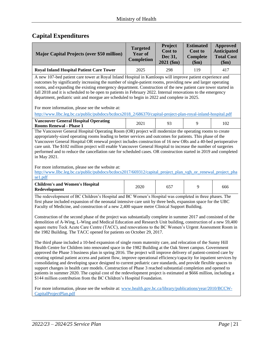#### **Capital Expenditures**

| <b>Major Capital Projects (over \$50 million)</b> | <b>Targeted</b><br><b>Year of</b><br><b>Completion</b> | Project<br><b>Cost to</b><br><b>Dec 31.</b><br>$2021$ (\$m) | <b>Estimated</b><br><b>Cost to</b><br>Complete<br>\$m) | Approved<br><b>Anticipated</b><br><b>Total Cost</b><br>\$m) |
|---------------------------------------------------|--------------------------------------------------------|-------------------------------------------------------------|--------------------------------------------------------|-------------------------------------------------------------|
| <b>Royal Inland Hospital Patient Care Tower</b>   | 2025                                                   | 298                                                         | 119                                                    | 417                                                         |

A new 107-bed patient care tower at Royal Inland Hospital in Kamloops will improve patient experience and outcomes by significantly increasing the number of single-patient rooms, providing new and larger operating rooms, and expanding the existing emergency department. Construction of the new patient care tower started in fall 2018 and it is scheduled to be open to patients in February 2022. Internal renovations to the emergency department, pediatric unit and morgue are scheduled to begin in 2022 and complete in 2025.

For more information, please see the website at:

[http://www.llbc.leg.bc.ca/public/pubdocs/bcdocs2018\\_2/686370/capital-project-plan-royal-inland-hospital.pdf](http://www.llbc.leg.bc.ca/public/pubdocs/bcdocs2018_2/686370/capital-project-plan-royal-inland-hospital.pdf)

| <b>Vancouver General Hospital Operating</b><br><b>Rooms Renewal - Phase 1</b> | 2021 |  | 102 |
|-------------------------------------------------------------------------------|------|--|-----|
| $\sim$                                                                        |      |  |     |

The Vancouver General Hospital Operating Room (OR) project will modernize the operating rooms to create appropriately-sized operating rooms leading to better services and outcomes for patients. This phase of the Vancouver General Hospital OR renewal project includes construction of 16 new ORs and a 40-bed perioperative care unit. The \$102 million project will enable Vancouver General Hospital to increase the number of surgeries performed and to reduce the cancellation rate for scheduled cases. OR construction started in 2019 and completed in May 2021.

For more information, please see the website at:

[http://www.llbc.leg.bc.ca/public/pubdocs/bcdocs2017/669312/capital\\_project\\_plan\\_vgh\\_or\\_renewal\\_project\\_pha](http://www.llbc.leg.bc.ca/public/pubdocs/bcdocs2017/669312/capital_project_plan_vgh_or_renewal_project_phase1.pdf) [se1.pdf](http://www.llbc.leg.bc.ca/public/pubdocs/bcdocs2017/669312/capital_project_plan_vgh_or_renewal_project_phase1.pdf)

| <b>Children's and Women's Hospital</b><br>Redevelopment | 2020 |  |  | 666 |
|---------------------------------------------------------|------|--|--|-----|
|---------------------------------------------------------|------|--|--|-----|

The redevelopment of BC Children's Hospital and BC Women's Hospital was completed in three phases. The first phase included expansion of the neonatal intensive care unit by three beds, expansion space for the UBC Faculty of Medicine, and construction of a new 2,400 square metre Clinical Support Building.

Construction of the second phase of the project was substantially complete in summer 2017 and consisted of the demolition of A-Wing, L-Wing and Medical Education and Research Unit building, construction of a new 59,400 square metre Teck Acute Care Centre (TACC), and renovations to the BC Women's Urgent Assessment Room in the 1982 Building. The TACC opened for patients on October 29, 2017.

The third phase included a 10-bed expansion of single room maternity care, and relocation of the Sunny Hill Health Centre for Children into renovated space in the 1982 Building at the Oak Street campus. Government approved the Phase 3 business plan in spring 2016. The project will improve delivery of patient-centred care by creating optimal patient access and patient flow, improve operational efficiency/capacity for inpatient services by consolidating and developing space designed to current pediatric care standards, and provide flexible spaces to support changes in health care models. Construction of Phase 3 reached substantial completion and opened to patients in summer 2020. The capital cost of the redevelopment project is estimated at \$666 million, including a \$144 million contribution from the BC Children's Hospital Foundation.

For more information, please see the website at: [www.health.gov.bc.ca/library/publications/year/2010/BCCW-](file://///SFP.IDIR.BCGOV/S114/S15017/Planning/11.%20MoH%20Service%20Plans/2022-23%20Service%20Plan/www.health.gov.bc.ca/library/publications/year/2010/BCCW-CapitalProjectPlan.pdf)[CapitalProjectPlan.pdf](file://///SFP.IDIR.BCGOV/S114/S15017/Planning/11.%20MoH%20Service%20Plans/2022-23%20Service%20Plan/www.health.gov.bc.ca/library/publications/year/2010/BCCW-CapitalProjectPlan.pdf)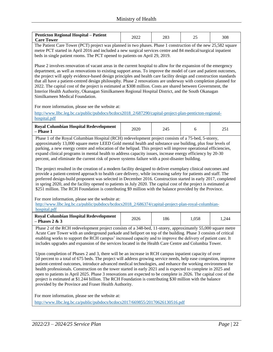| <b>Penticton Regional Hospital - Patient</b><br><b>Care Tower</b>                                                                                                                                                                                                                                                                                                                                                                                                                                                                                                                                                                                                                                                                                                                                                                                                                                                                                                                                                                                                                                                                                                                                             | 2022 | 283 | 25    | 308   |  |
|---------------------------------------------------------------------------------------------------------------------------------------------------------------------------------------------------------------------------------------------------------------------------------------------------------------------------------------------------------------------------------------------------------------------------------------------------------------------------------------------------------------------------------------------------------------------------------------------------------------------------------------------------------------------------------------------------------------------------------------------------------------------------------------------------------------------------------------------------------------------------------------------------------------------------------------------------------------------------------------------------------------------------------------------------------------------------------------------------------------------------------------------------------------------------------------------------------------|------|-----|-------|-------|--|
| The Patient Care Tower (PCT) project was planned in two phases. Phase 1 construction of the new 25,582 square                                                                                                                                                                                                                                                                                                                                                                                                                                                                                                                                                                                                                                                                                                                                                                                                                                                                                                                                                                                                                                                                                                 |      |     |       |       |  |
| metre PCT started in April 2016 and included a new surgical services centre and 84 medical/surgical inpatient<br>beds in single patient rooms. The PCT opened to patients on April 29, 2019.                                                                                                                                                                                                                                                                                                                                                                                                                                                                                                                                                                                                                                                                                                                                                                                                                                                                                                                                                                                                                  |      |     |       |       |  |
| Phase 2 involves renovation of vacant areas in the current hospital to allow for the expansion of the emergency<br>department, as well as renovations to existing support areas. To improve the model of care and patient outcomes,<br>the project will apply evidence-based design principles and health care facility design and construction standards<br>that all have a patient-centred design philosophy. Phase 2 renovations are underway with completion planned for<br>2022. The capital cost of the project is estimated at \$308 million. Costs are shared between Government, the<br>Interior Health Authority, Okanagan Similkameen Regional Hospital District, and the South Okanagan<br>Similkameen Medical Foundation.                                                                                                                                                                                                                                                                                                                                                                                                                                                                        |      |     |       |       |  |
| For more information, please see the website at:                                                                                                                                                                                                                                                                                                                                                                                                                                                                                                                                                                                                                                                                                                                                                                                                                                                                                                                                                                                                                                                                                                                                                              |      |     |       |       |  |
| http://www.llbc.leg.bc.ca/public/pubdocs/bcdocs2018 2/687290/capital-project-plan-penticton-regional-<br>hospital.pdf                                                                                                                                                                                                                                                                                                                                                                                                                                                                                                                                                                                                                                                                                                                                                                                                                                                                                                                                                                                                                                                                                         |      |     |       |       |  |
| <b>Royal Columbian Hospital Redevelopment</b><br>- Phase 1                                                                                                                                                                                                                                                                                                                                                                                                                                                                                                                                                                                                                                                                                                                                                                                                                                                                                                                                                                                                                                                                                                                                                    | 2020 | 245 | 6     | 251   |  |
| approximately 13,000 square metre LEED Gold mental health and substance use building, plus four levels of<br>parking, a new energy centre and relocation of the helipad. This project will improve operational efficiencies,<br>expand clinical programs in mental health to address capacity issues, increase energy efficiency by 20-30<br>percent, and eliminate the current risk of power systems failure with a post-disaster building.<br>The project resulted in the creation of a modern facility designed to deliver exemplary clinical outcomes and<br>provide a patient-centred approach to health care delivery, while increasing safety for patients and staff. The<br>preferred design-build proponent was selected in December 2016. Construction started in early 2017, completed<br>in spring 2020, and the facility opened to patients in July 2020. The capital cost of the project is estimated at<br>\$251 million. The RCH Foundation is contributing \$9 million with the balance provided by the Province.<br>For more information, please see the website at:<br>http://www.llbc.leg.bc.ca/public/pubdocs/bcdocs2018 2/686374/capital-project-plan-royal-columbian-<br>hospital.pdf  |      |     |       |       |  |
| <b>Royal Columbian Hospital Redevelopment</b><br>$-$ Phases 2 & 3                                                                                                                                                                                                                                                                                                                                                                                                                                                                                                                                                                                                                                                                                                                                                                                                                                                                                                                                                                                                                                                                                                                                             | 2026 | 186 | 1,058 | 1,244 |  |
| Phase 2 of the RCH redevelopment project consists of a 348-bed, 11-storey, approximately 55,000 square metre<br>Acute Care Tower with an underground parkade and heliport on top of the building. Phase 3 consists of critical<br>enabling works to support the RCH campus' increased capacity and to improve the delivery of patient care. It<br>includes upgrades and expansion of the services located in the Health Care Centre and Columbia Tower.<br>Upon completion of Phases 2 and 3, there will be an increase in RCH campus inpatient capacity of over<br>50 percent to a total of 675 beds. The project will address growing service needs, help ease congestion, improve<br>patient-centred outcomes, introduce advanced medical technologies, and enhance the working environment for<br>health professionals. Construction on the tower started in early 2021 and is expected to complete in 2025 and<br>open to patients in April 2025. Phase 3 renovations are expected to be complete in 2026. The capital cost of the<br>project is estimated at \$1.244 billion. The RCH Foundation is contributing \$30 million with the balance<br>provided by the Province and Fraser Health Authority. |      |     |       |       |  |
| For more information, please see the website at:                                                                                                                                                                                                                                                                                                                                                                                                                                                                                                                                                                                                                                                                                                                                                                                                                                                                                                                                                                                                                                                                                                                                                              |      |     |       |       |  |

<http://www.llbc.leg.bc.ca/public/pubdocs/bcdocs2017/669855/20170626130516.pdf>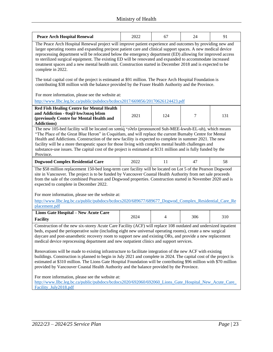| <b>Peace Arch Hospital Renewal</b>                                                                                                                                                                                                                                                                                                                                                                                                                                                                                                                                                                                                                                                                                                                                                                                                                                                                                                                                                                                                                                               | 2022 | 67             | 24  | 91  |  |  |
|----------------------------------------------------------------------------------------------------------------------------------------------------------------------------------------------------------------------------------------------------------------------------------------------------------------------------------------------------------------------------------------------------------------------------------------------------------------------------------------------------------------------------------------------------------------------------------------------------------------------------------------------------------------------------------------------------------------------------------------------------------------------------------------------------------------------------------------------------------------------------------------------------------------------------------------------------------------------------------------------------------------------------------------------------------------------------------|------|----------------|-----|-----|--|--|
| The Peace Arch Hospital Renewal project will improve patient experience and outcomes by providing new and<br>larger operating rooms and expanding pre/post patient care and clinical support spaces. A new medical device<br>reprocessing department will be relocated below the emergency department (ED) allowing for improved access<br>to sterilized surgical equipment. The existing ED will be renovated and expanded to accommodate increased<br>treatment spaces and a new mental health unit. Construction started in December 2018 and is expected to be<br>complete in 2022.<br>The total capital cost of the project is estimated at \$91 million. The Peace Arch Hospital Foundation is                                                                                                                                                                                                                                                                                                                                                                             |      |                |     |     |  |  |
| contributing \$38 million with the balance provided by the Fraser Health Authority and the Province.                                                                                                                                                                                                                                                                                                                                                                                                                                                                                                                                                                                                                                                                                                                                                                                                                                                                                                                                                                             |      |                |     |     |  |  |
| For more information, please see the website at:                                                                                                                                                                                                                                                                                                                                                                                                                                                                                                                                                                                                                                                                                                                                                                                                                                                                                                                                                                                                                                 |      |                |     |     |  |  |
| http://www.llbc.leg.bc.ca/public/pubdocs/bcdocs2017/669856/20170626124423.pdf                                                                                                                                                                                                                                                                                                                                                                                                                                                                                                                                                                                                                                                                                                                                                                                                                                                                                                                                                                                                    |      |                |     |     |  |  |
| <b>Red Fish Healing Centre for Mental Health</b><br>and Addiction - $\theta$ aqi? ław?anaq lelam<br>(previously Centre for Mental Health and<br><b>Addictions</b> )                                                                                                                                                                                                                                                                                                                                                                                                                                                                                                                                                                                                                                                                                                                                                                                                                                                                                                              | 2021 | 124            | 7   | 131 |  |  |
| The new 105-bed facility will be located on səmiq və?elə (pronounced Suh-MEE-kwuh-EL-uh), which means<br>"The Place of the Great Blue Heron" in Coquitlam, and will replace the current Burnaby Centre for Mental<br>Health and Addictions. Construction of the new facility is expected to complete in summer 2021. The new<br>facility will be a more therapeutic space for those living with complex mental health challenges and<br>substance-use issues. The capital cost of the project is estimated at \$131 million and is fully funded by the<br>Province.                                                                                                                                                                                                                                                                                                                                                                                                                                                                                                              |      |                |     |     |  |  |
| <b>Dogwood Complex Residential Care</b>                                                                                                                                                                                                                                                                                                                                                                                                                                                                                                                                                                                                                                                                                                                                                                                                                                                                                                                                                                                                                                          | 2022 | 11             | 47  | 58  |  |  |
| The \$58 million replacement 150-bed long-term care facility will be located on Lot 5 of the Pearson Dogwood<br>site in Vancouver. The project is to be funded by Vancouver Coastal Health Authority from net sale proceeds<br>from the sale of the combined Pearson and Dogwood properties. Construction started in November 2020 and is<br>expected to complete in December 2022.                                                                                                                                                                                                                                                                                                                                                                                                                                                                                                                                                                                                                                                                                              |      |                |     |     |  |  |
| For more information, please see the website at:<br>http://www.llbc.leg.bc.ca/public/pubdocs/bcdocs2020/689677/689677 Dogwod Complex Residential Care Re                                                                                                                                                                                                                                                                                                                                                                                                                                                                                                                                                                                                                                                                                                                                                                                                                                                                                                                         |      |                |     |     |  |  |
| placement.pdf                                                                                                                                                                                                                                                                                                                                                                                                                                                                                                                                                                                                                                                                                                                                                                                                                                                                                                                                                                                                                                                                    |      |                |     |     |  |  |
| Lions Gate Hospital - New Acute Care<br><b>Facility</b>                                                                                                                                                                                                                                                                                                                                                                                                                                                                                                                                                                                                                                                                                                                                                                                                                                                                                                                                                                                                                          | 2024 | $\overline{4}$ | 306 | 310 |  |  |
| Construction of the new six-storey Acute Care Facility (ACF) will replace 108 outdated and undersized inpatient<br>beds, expand the perioperative suite (including eight new universal operating rooms), create a new surgical<br>daycare and post-anaesthetic recovery room to support new and existing ORs, and provide a new replacement<br>medical device reprocessing department and new outpatient clinics and support services.<br>Renovations will be made to existing infrastructure to facilitate integration of the new ACF with existing<br>buildings. Construction is planned to begin in July 2021 and complete in 2024. The capital cost of the project is<br>estimated at \$310 million. The Lions Gate Hospital Foundation will be contributing \$96 million with \$70 million<br>provided by Vancouver Coastal Health Authority and the balance provided by the Province.<br>For more information, please see the website at:<br>http://www.llbc.leg.bc.ca/public/pubdocs/bcdocs2020/692060/692060 Lions Gate Hospital New Acute Care<br>Facility July2018.pdf |      |                |     |     |  |  |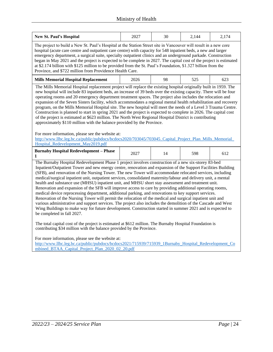| <b>New St. Paul's Hospital</b>                                                                                                                                                                                                                                                                                                                                                                                                                                                                                                                                                                                                                                                                                                                                                                                                                                                                                                                                                                                                                                                                                                                                                                                                                                                                                                            | 2027 | 30 | 2,144 | 2,174 |  |
|-------------------------------------------------------------------------------------------------------------------------------------------------------------------------------------------------------------------------------------------------------------------------------------------------------------------------------------------------------------------------------------------------------------------------------------------------------------------------------------------------------------------------------------------------------------------------------------------------------------------------------------------------------------------------------------------------------------------------------------------------------------------------------------------------------------------------------------------------------------------------------------------------------------------------------------------------------------------------------------------------------------------------------------------------------------------------------------------------------------------------------------------------------------------------------------------------------------------------------------------------------------------------------------------------------------------------------------------|------|----|-------|-------|--|
| The project to build a New St. Paul's Hospital at the Station Street site in Vancouver will result in a new core<br>hospital (acute care centre and outpatient care centre) with capacity for 548 inpatient beds, a new and larger<br>emergency department, a surgical suite, specialty outpatient clinics and an underground parkade. Construction<br>began in May 2021 and the project is expected to be complete in 2027. The capital cost of the project is estimated<br>at \$2.174 billion with \$125 million to be provided from the St. Paul's Foundation, \$1.327 billion from the<br>Province, and \$722 million from Providence Health Care.                                                                                                                                                                                                                                                                                                                                                                                                                                                                                                                                                                                                                                                                                    |      |    |       |       |  |
| <b>Mills Memorial Hospital Replacement</b>                                                                                                                                                                                                                                                                                                                                                                                                                                                                                                                                                                                                                                                                                                                                                                                                                                                                                                                                                                                                                                                                                                                                                                                                                                                                                                | 2026 | 98 | 525   | 623   |  |
| The Mills Memorial Hospital replacement project will replace the existing hospital originally built in 1959. The<br>new hospital will include 83 inpatient beds, an increase of 39 beds over the existing capacity. There will be four<br>operating rooms and 20 emergency department treatment spaces. The project also includes the relocation and<br>expansion of the Seven Sisters facility, which accommodates a regional mental health rehabilitation and recovery<br>program, on the Mills Memorial Hospital site. The new hospital will meet the needs of a Level 3 Trauma Centre.<br>Construction is planned to start in spring 2021 and the project is expected to complete in 2026. The capital cost<br>of the project is estimated at \$623 million. The North West Regional Hospital District is contributing<br>approximately \$110 million with the balance provided by the Province.<br>For more information, please see the website at:<br>http://www.llbc.leg.bc.ca/public/pubdocs/bcdocs2020/703045/703045_Capital_Project_Plan_Mills_Memorial_<br>Hospital Redevelopment May2019.pdf                                                                                                                                                                                                                                  |      |    |       |       |  |
| <b>Burnaby Hospital Redevelopment - Phase</b><br>1                                                                                                                                                                                                                                                                                                                                                                                                                                                                                                                                                                                                                                                                                                                                                                                                                                                                                                                                                                                                                                                                                                                                                                                                                                                                                        | 2027 | 14 | 598   | 612   |  |
| The Burnaby Hospital Redevelopment Phase 1 project involves construction of a new six-storey 83-bed<br>Inpatient/Outpatient Tower and new energy centre, renovation and expansion of the Support Facilities Building<br>(SFB), and renovation of the Nursing Tower. The new Tower will accommodate relocated services, including<br>medical/surgical inpatient unit, outpatient services, consolidated maternity/labour and delivery unit, a mental<br>health and substance use (MHSU) inpatient unit, and MHSU short stay assessment and treatment unit.<br>Renovation and expansion of the SFB will improve access to care by providing additional operating rooms,<br>medical device reprocessing department, additional parking, and renovations to key support services.<br>Renovation of the Nursing Tower will permit the relocation of the medical and surgical inpatient unit and<br>various administrative and support services. The project also includes the demolition of the Cascade and West<br>Wing Buildings to make way for future development. Construction started in summer 2021 and is expected to<br>be completed in fall 2027.<br>The total capital cost of the project is estimated at \$612 million. The Burnaby Hospital Foundation is<br>contributing \$34 million with the balance provided by the Province. |      |    |       |       |  |
| For more information, please see the website at:<br>$111 - 111 - 1 - 1 - 1 - 11$<br>$0.001$ $715000$ $715000$ $1$ $D$<br>$\sim$ 1 m 1                                                                                                                                                                                                                                                                                                                                                                                                                                                                                                                                                                                                                                                                                                                                                                                                                                                                                                                                                                                                                                                                                                                                                                                                     |      |    |       |       |  |

[http://www.llbc.leg.bc.ca/public/pubdocs/bcdocs2021/715939/715939\\_1Burnaby\\_Hospital\\_Redevelopment\\_Co](http://www.llbc.leg.bc.ca/public/pubdocs/bcdocs2021/715939/715939_1Burnaby_Hospital_Redevelopment_Combined_BTAA_Capital_Project_Plan_2020_02_20.pdf) [mbined\\_BTAA\\_Capital\\_Project\\_Plan\\_2020\\_02\\_20.pdf](http://www.llbc.leg.bc.ca/public/pubdocs/bcdocs2021/715939/715939_1Burnaby_Hospital_Redevelopment_Combined_BTAA_Capital_Project_Plan_2020_02_20.pdf)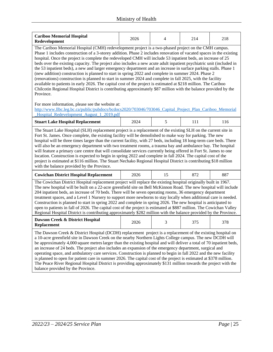| <b>Cariboo Memorial Hospital</b><br>Redevelopment                                                                                                                                                                                                                                                                                                                                                                                                                                                                                                                                                                                                                                                                                                                                                                                                                                                                                                                                                                                                                                                                    | 2026 | 4  | 214 | 218 |  |
|----------------------------------------------------------------------------------------------------------------------------------------------------------------------------------------------------------------------------------------------------------------------------------------------------------------------------------------------------------------------------------------------------------------------------------------------------------------------------------------------------------------------------------------------------------------------------------------------------------------------------------------------------------------------------------------------------------------------------------------------------------------------------------------------------------------------------------------------------------------------------------------------------------------------------------------------------------------------------------------------------------------------------------------------------------------------------------------------------------------------|------|----|-----|-----|--|
| The Cariboo Memorial Hospital (CMH) redevelopment project is a two-phased project on the CMH campus.<br>Phase 1 includes construction of a 3-storey addition. Phase 2 includes renovation of vacated spaces in the existing<br>hospital. Once the project is complete the redeveloped CMH will include 53 inpatient beds, an increase of 25<br>beds over the existing capacity. The project also includes a new acute adult inpatient psychiatric unit (included in<br>the 53 inpatient beds), a new and larger emergency department and an increase in surface parking stalls. Phase 1<br>(new addition) construction is planned to start in spring 2022 and complete in summer 2024. Phase 2<br>(renovations) construction is planned to start in summer 2024 and complete in fall 2025, with the facility<br>available to patients in early 2026. The capital cost of the project is estimated at \$218 million. The Cariboo<br>Chilcotin Regional Hospital District is contributing approximately \$87 million with the balance provided by the<br>Province.<br>For more information, please see the website at: |      |    |     |     |  |
| http://www.llbc.leg.bc.ca/public/pubdocs/bcdocs2020/703046/703046 Capital Project Plan Cariboo Memorial<br>Hospital Redevelopment August 1 2019.pdf                                                                                                                                                                                                                                                                                                                                                                                                                                                                                                                                                                                                                                                                                                                                                                                                                                                                                                                                                                  |      |    |     |     |  |
| <b>Stuart Lake Hospital Replacement</b>                                                                                                                                                                                                                                                                                                                                                                                                                                                                                                                                                                                                                                                                                                                                                                                                                                                                                                                                                                                                                                                                              | 2024 | 5  | 111 | 116 |  |
| The Stuart Lake Hospital (SLH) replacement project is a replacement of the existing SLH on the current site in<br>Fort St. James. Once complete, the existing facility will be demolished to make way for parking. The new<br>hospital will be three times larger than the current facility, with 27 beds, including 18 long-term care beds. There<br>will also be an emergency department with two treatment rooms, a trauma bay and ambulance bay. The hospital<br>will feature a primary care centre that will consolidate services currently being offered in Fort St. James to one<br>location. Construction is expected to begin in spring 2022 and complete in fall 2024. The capital cost of the<br>project is estimated at \$116 million. The Stuart Nechako Regional Hospital District is contributing \$18 million<br>with the balance provided by the Province.                                                                                                                                                                                                                                          |      |    |     |     |  |
| <b>Cowichan District Hospital Replacement</b>                                                                                                                                                                                                                                                                                                                                                                                                                                                                                                                                                                                                                                                                                                                                                                                                                                                                                                                                                                                                                                                                        | 2026 | 15 | 872 | 887 |  |
| The Cowichan District Hospital replacement project will replace the existing hospital originally built in 1967.<br>The new hospital will be built on a 22-acre greenfield site on Bell McKinnon Road. The new hospital will include<br>204 inpatient beds, an increase of 70 beds. There will be seven operating rooms, 36 emergency department<br>treatment spaces, and a Level 1 Nursery to support more newborns to stay locally when additional care is needed.<br>Construction is planned to start in spring 2022 and complete in spring 2026. The new hospital is anticipated to<br>open to patients in fall of 2026. The capital cost of the project is estimated at \$887 million. The Cowichan Valley<br>Regional Hospital District is contributing approximately \$282 million with the balance provided by the Province.                                                                                                                                                                                                                                                                                  |      |    |     |     |  |
| Dawson Creek & District Hospital<br><b>Replacement</b>                                                                                                                                                                                                                                                                                                                                                                                                                                                                                                                                                                                                                                                                                                                                                                                                                                                                                                                                                                                                                                                               | 2026 | 3  | 375 | 378 |  |
| The Dawson Creek & District Hospital (DCDH) replacement project is a replacement of the existing hospital on<br>a 10-acre greenfield site in Dawson Creek on the nearby Northern Lights College campus. The new DCDH will<br>be approximately 4,000 square metres larger than the existing hospital and will deliver a total of 70 inpatient beds,<br>an increase of 24 beds. The project also includes an expansion of the emergency department, surgical and<br>operating space, and ambulatory care services. Construction is planned to begin in fall 2022 and the new facility<br>is planned to open for patient care in summer 2026. The capital cost of the project is estimated at \$378 million.<br>The Peace River Regional Hospital District is providing approximately \$131 million towards the project with the<br>balance provided by the Province.                                                                                                                                                                                                                                                   |      |    |     |     |  |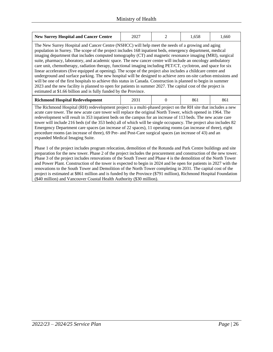| <b>New Surrey Hospital and Cancer Centre</b>                                                                                                                                                                                                                                                                                                                                                                                                                                                                                                                                                                                                                                                                                                                                                                                                                                                                                                                                                                                                                                                         | 2027 |  | 1,658 | 1,660 |  |
|------------------------------------------------------------------------------------------------------------------------------------------------------------------------------------------------------------------------------------------------------------------------------------------------------------------------------------------------------------------------------------------------------------------------------------------------------------------------------------------------------------------------------------------------------------------------------------------------------------------------------------------------------------------------------------------------------------------------------------------------------------------------------------------------------------------------------------------------------------------------------------------------------------------------------------------------------------------------------------------------------------------------------------------------------------------------------------------------------|------|--|-------|-------|--|
| The New Surrey Hospital and Cancer Centre (NSHCC) will help meet the needs of a growing and aging<br>population in Surrey. The scope of the project includes 168 inpatient beds, emergency department, medical<br>imaging department that includes computed tomography (CT) and magnetic resonance imaging (MRI), surgical<br>suite, pharmacy, laboratory, and academic space. The new cancer centre will include an oncology ambulatory<br>care unit, chemotherapy, radiation therapy, functional imaging including PET/CT, cyclotron, and space for six<br>linear accelerators (five equipped at opening). The scope of the project also includes a childcare centre and<br>underground and surface parking. The new hospital will be designed to achieve zero on-site carbon emissions and<br>will be one of the first hospitals to achieve this status in Canada. Construction is planned to begin in summer<br>2023 and the new facility is planned to open for patients in summer 2027. The capital cost of the project is<br>estimated at \$1.66 billion and is fully funded by the Province. |      |  |       |       |  |
| <b>Richmond Hospital Redevelopment</b><br>2031<br>861<br>861<br>$\Omega$                                                                                                                                                                                                                                                                                                                                                                                                                                                                                                                                                                                                                                                                                                                                                                                                                                                                                                                                                                                                                             |      |  |       |       |  |
| The Richmond Hospital (RH) redevelopment project is a multi-phased project on the RH site that includes a new<br>acute care tower. The new acute care tower will replace the original North Tower, which opened in 1964. The<br>redevelopment will result in 353 inpatient beds on the campus for an increase of 113 beds. The new acute care<br>tower will include 216 beds (of the 353 beds) all of which will be single occupancy. The project also includes 82<br>Emergency Department care spaces (an increase of 22 spaces), 11 operating rooms (an increase of three), eight<br>procedure rooms (an increase of three), 69 Pre- and Post-Care surgical spaces (an increase of 43) and an<br>expanded Medical Imaging Suite.                                                                                                                                                                                                                                                                                                                                                                   |      |  |       |       |  |

Phase 1 of the project includes program relocation, demolition of the Rotunda and Park Centre buildings and site preparation for the new tower. Phase 2 of the project includes the procurement and construction of the new tower. Phase 3 of the project includes renovations of the South Tower and Phase 4 is the demolition of the North Tower and Power Plant. Construction of the tower is expected to begin in 2024 and be open for patients in 2027 with the renovations to the South Tower and Demolition of the North Tower completing in 2031. The capital cost of the project is estimated at \$861 million and is funded by the Province (\$791 million), Richmond Hospital Foundation (\$40 million) and Vancouver Coastal Health Authority (\$30 million).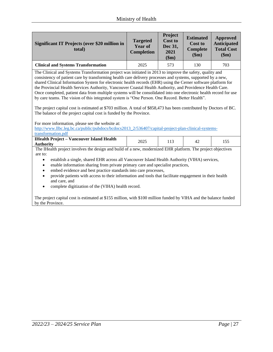| <b>Significant IT Projects (over \$20 million in</b><br>total) | <b>Targeted</b><br>Year of<br><b>Completion</b> | Project<br><b>Cost to</b><br>Dec 31,<br>2021<br>\$m) | <b>Estimated</b><br><b>Cost to</b><br><b>Complete</b><br>\$m) | Approved<br><b>Anticipated</b><br><b>Total Cost</b><br>\$m\$ |
|----------------------------------------------------------------|-------------------------------------------------|------------------------------------------------------|---------------------------------------------------------------|--------------------------------------------------------------|
| <b>Clinical and Systems Transformation</b>                     | 2025                                            | 573                                                  | 130                                                           | 703                                                          |

The Clinical and Systems Transformation project was initiated in 2013 to improve the safety, quality and consistency of patient care by transforming health care delivery processes and systems, supported by a new, shared Clinical Information System for electronic health records (EHR) using the Cerner software platform for the Provincial Health Services Authority, Vancouver Coastal Health Authority, and Providence Health Care. Once completed, patient data from multiple systems will be consolidated into one electronic health record for use by care teams. The vision of this integrated system is "One Person. One Record. Better Health".

The project capital cost is estimated at \$703 million. A total of \$858,473 has been contributed by Doctors of BC. The balance of the project capital cost is funded by the Province.

For more information, please see the website at:

[http://www.llbc.leg.bc.ca/public/pubdocs/bcdocs2013\\_2/536407/capital-project-plan-clinical-systems](http://www.llbc.leg.bc.ca/public/pubdocs/bcdocs2013_2/536407/capital-project-plan-clinical-systems-transformation.pdf)[transformation.pdf](http://www.llbc.leg.bc.ca/public/pubdocs/bcdocs2013_2/536407/capital-project-plan-clinical-systems-transformation.pdf)

| <b>IHealth Project – Vancouver Island Health</b><br>2025 |  |
|----------------------------------------------------------|--|
| .<br>Authoritv                                           |  |

The IHealth project involves the design and build of a new, modernized EHR platform. The project objectives are to:

- establish a single, shared EHR across all Vancouver Island Health Authority (VIHA) services,
- enable information sharing from private primary care and specialist practices,
- embed evidence and best practice standards into care processes,
- provide patients with access to their information and tools that facilitate engagement in their health and care, and
- complete digitization of the (VIHA) health record.

The project capital cost is estimated at \$155 million, with \$100 million funded by VIHA and the balance funded by the Province.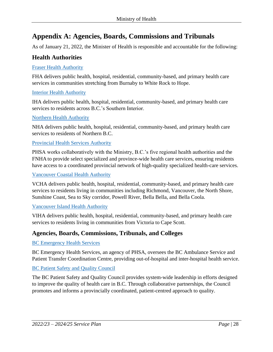# <span id="page-27-0"></span>**Appendix A: Agencies, Boards, Commissions and Tribunals**

As of January 21, 2022, the Minister of Health is responsible and accountable for the following:

#### **Health Authorities**

#### [Fraser Health Authority](https://www.fraserhealth.ca/)

FHA delivers public health, hospital, residential, community-based, and primary health care services in communities stretching from Burnaby to White Rock to Hope.

#### [Interior Health Authority](https://www.interiorhealth.ca/Pages/default.aspx)

IHA delivers public health, hospital, residential, community-based, and primary health care services to residents across B.C.'s Southern Interior.

#### [Northern Health Authority](https://www.northernhealth.ca/)

NHA delivers public health, hospital, residential, community-based, and primary health care services to residents of Northern B.C.

#### [Provincial Health Services Authority](http://www.phsa.ca/)

PHSA works collaboratively with the Ministry, B.C.'s five regional health authorities and the FNHA to provide select specialized and province-wide health care services, ensuring residents have access to a coordinated provincial network of high-quality specialized health-care services.

#### [Vancouver Coastal Health Authority](http://www.vch.ca/)

VCHA delivers public health, hospital, residential, community-based, and primary health care services to residents living in communities including Richmond, Vancouver, the North Shore, Sunshine Coast, Sea to Sky corridor, Powell River, Bella Bella, and Bella Coola.

#### [Vancouver Island Health Authority](https://www.islandhealth.ca/)

VIHA delivers public health, hospital, residential, community-based, and primary health care services to residents living in communities from Victoria to Cape Scott.

#### **Agencies, Boards, Commissions, Tribunals, and Colleges**

#### [BC Emergency Health Services](http://www.bcehs.ca/)

BC Emergency Health Services, an agency of PHSA, oversees the BC Ambulance Service and Patient Transfer Coordination Centre, providing out-of-hospital and inter-hospital health service.

#### [BC Patient Safety and Quality Council](https://bcpsqc.ca/)

The BC Patient Safety and Quality Council provides system-wide leadership in efforts designed to improve the quality of health care in B.C. Through collaborative partnerships, the Council promotes and informs a provincially coordinated, patient-centred approach to quality.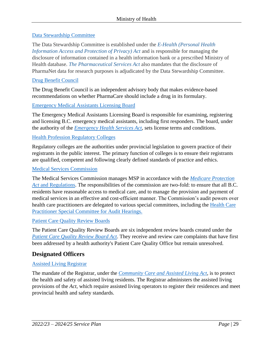#### [Data Stewardship Committee](https://www2.gov.bc.ca/gov/content/health/conducting-health-research-evaluation/data-access-health-data-central/data-management-oversight?keyword=data%20stewardship%20committee)

The Data Stewardship Committee is established under the *[E-Health \(Personal Health](http://www.bclaws.ca/EPLibraries/bclaws_new/document/ID/freeside/00_08038_01)  [Information Access and Protection of Privacy\) Act](http://www.bclaws.ca/EPLibraries/bclaws_new/document/ID/freeside/00_08038_01)* and is responsible for managing the disclosure of information contained in a health information bank or a prescribed Ministry of Health database. *[The Pharmaceutical Services Act](http://www.bclaws.ca/civix/document/id/complete/statreg/12022_01)* also mandates that the disclosure of PharmaNet data for research purposes is adjudicated by the Data Stewardship Committee.

#### [Drug Benefit Council](https://www2.gov.bc.ca/gov/content/health/health-drug-coverage/pharmacare-for-bc-residents/what-we-cover/drug-coverage/drug-review-process-results)

The Drug Benefit Council is an independent advisory body that makes evidence-based recommendations on whether PharmaCare should include a drug in its formulary.

[Emergency Medical Assistants Licensing Board](https://www2.gov.bc.ca/gov/content/health/about-bc-s-health-care-system/partners/colleges-boards-and-commissions/emergency-medical-assistants-licensing-board)

The Emergency Medical Assistants Licensing Board is responsible for examining, registering and licensing B.C. emergency medical assistants, including first responders. The board, under the authority of the *[Emergency Health Services Act](http://www.bclaws.ca/EPLibraries/bclaws_new/document/ID/freeside/00_96182_01)*, sets license terms and conditions.

#### [Health Profession Regulatory Colleges](https://www2.gov.bc.ca/gov/content/health/about-bc-s-health-care-system/partners/colleges-boards-and-commissions)

Regulatory colleges are the authorities under provincial legislation to govern practice of their registrants in the public interest. The primary function of colleges is to ensure their registrants are qualified, competent and following clearly defined standards of practice and ethics.

#### [Medical Services Commission](https://www2.gov.bc.ca/gov/content/health/about-bc-s-health-care-system/partners/colleges-boards-and-commissions/medical-services-commission)

The Medical Services Commission manages MSP in accordance with the *[Medicare Protection](https://www2.gov.bc.ca/gov/content/health/about-bc-s-health-care-system/legislation/medicare-protection-act-and-regulations)  Act* [and Regulations.](https://www2.gov.bc.ca/gov/content/health/about-bc-s-health-care-system/legislation/medicare-protection-act-and-regulations) The responsibilities of the commission are two-fold: to ensure that all B.C. residents have reasonable access to medical care, and to manage the provision and payment of medical services in an effective and cost-efficient manner. The Commission's audit powers over health care practitioners are delegated to various special committees, including the Health Care [Practitioner Special Committee for Audit Hearings.](https://www2.gov.bc.ca/gov/content/health/practitioner-professional-resources/msp/health-care-practitioners-special-committee-audit-hearings)

#### [Patient Care Quality Review Boards](https://www.patientcarequalityreviewboard.ca/)

The Patient Care Quality Review Boards are six independent review boards created under the *[Patient Care Quality Review Board Act](http://www.bclaws.ca/civix/document/id/complete/statreg/08035_01)*. They receive and review care complaints that have first been addressed by a health authority's Patient Care Quality Office but remain unresolved.

#### **Designated Officers**

#### [Assisted Living Registrar](https://www2.gov.bc.ca/gov/content/health/assisted-living-in-bc/assisted-living-registry)

The mandate of the Registrar, under the *[Community Care and Assisted Living Act](http://www.bclaws.ca/civix/document/id/complete/statreg/00_02075_01)*, is to protect the health and safety of assisted living residents. The Registrar administers the assisted living provisions of the *Act*, which require assisted living operators to register their residences and meet provincial health and safety standards.